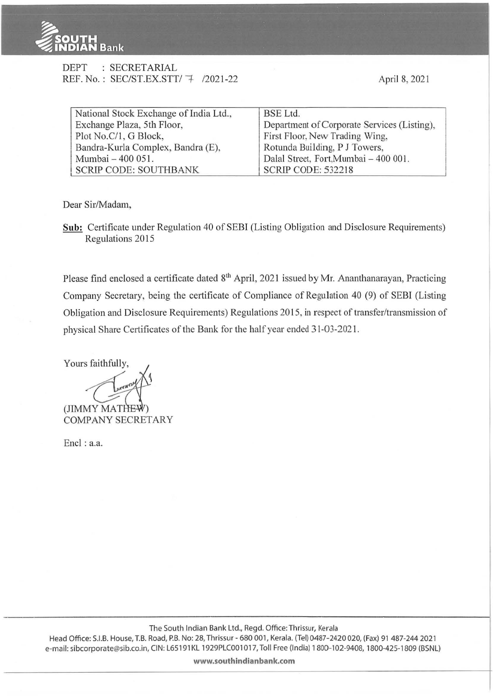

| DEPT | : SECRETARIAL                       |  |
|------|-------------------------------------|--|
|      | REF. No.: SEC/ST.EX.STT/ 7 /2021-22 |  |

April 8, 2021

| National Stock Exchange of India Ltd., | BSE Ltd.                                    |  |  |
|----------------------------------------|---------------------------------------------|--|--|
| Exchange Plaza, 5th Floor,             | Department of Corporate Services (Listing), |  |  |
| Plot No.C/1, G Block,                  | First Floor, New Trading Wing,              |  |  |
| Bandra-Kurla Complex, Bandra (E),      | Rotunda Building, P J Towers,               |  |  |
| Mumbai - 400 051.                      | Dalal Street, Fort, Mumbai - 400 001.       |  |  |
| <b>SCRIP CODE: SOUTHBANK</b>           | <b>SCRIP CODE: 532218</b>                   |  |  |

Dear Sir/Madam,

**Sub:** Certificate under Regulation 40 of SEBI (Listing Obligation and Disclosure Requirements) Regulations 2015

Please find enclosed a certificate dated 8<sup>th</sup> April, 2021 issued by Mr. Ananthanarayan, Practicing Company Secretary, being the certificate of Compliance of Regulation 40 (9) of SEBI (Listing Obligation and Disclosure Requirements) Regulations 2015, in respect of transfer/transmission of physical Share Certificates of the Bank for the half year ended 31-03-202 1.

Yours faithfully, (JIMMY MATHEW COMPANY SECRETARY

Encl: a.a.

**www.southindianbank.com**